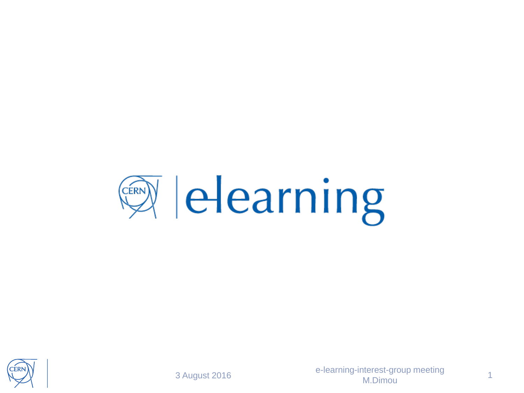



3 August 2016

e -learning -interest -group meeting M.Dimou

1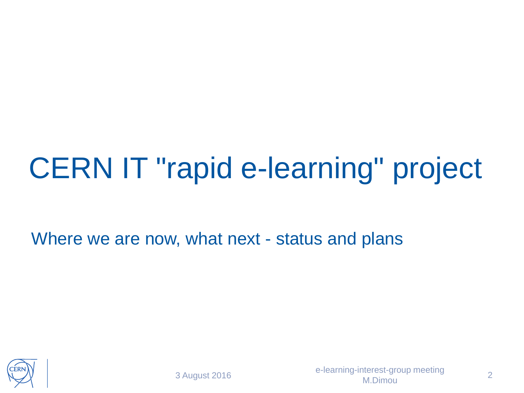## CERN IT "rapid e-learning" project

Where we are now, what next - status and plans

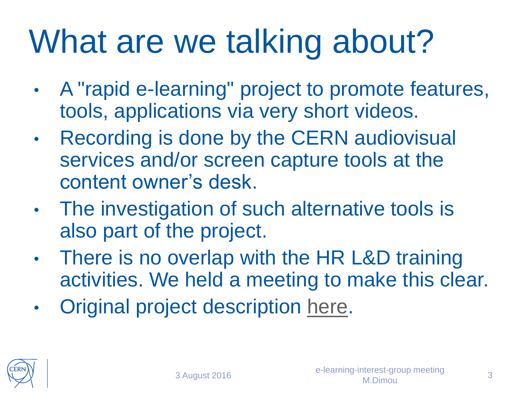# What are we talking about?

- A "rapid e-learning" project to promote features, tools, applications via very short videos.
- Recording is done by the CERN audiovisual services and/or screen capture tools at the content owner's desk.
- The investigation of such alternative tools is also part of the project.
- There is no overlap with the HR L&D training activities. We held a meeting to make this clear.
- Original project description [here](http://it-student-projects.web.cern.ch/projects/e-learning-modules).

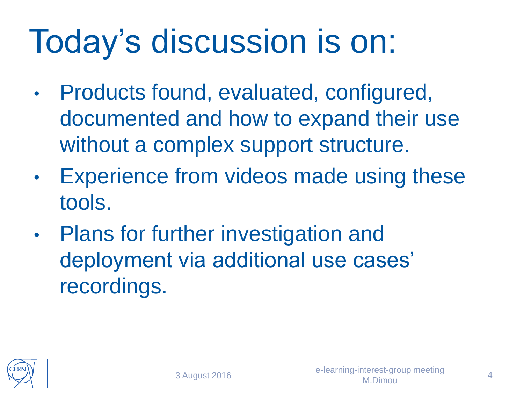# Today's discussion is on:

- Products found, evaluated, configured, documented and how to expand their use without a complex support structure.
- Experience from videos made using these tools.
- Plans for further investigation and deployment via additional use cases' recordings.

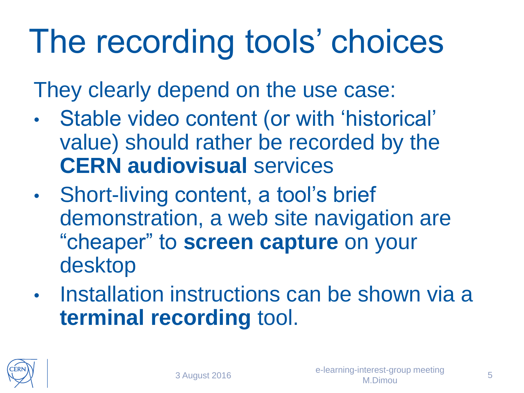# The recording tools' choices

They clearly depend on the use case:

- Stable video content (or with 'historical' value) should rather be recorded by the **CERN audiovisual** services
- Short-living content, a tool's brief demonstration, a web site navigation are "cheaper" to **screen capture** on your desktop
- Installation instructions can be shown via a **terminal recording** tool.

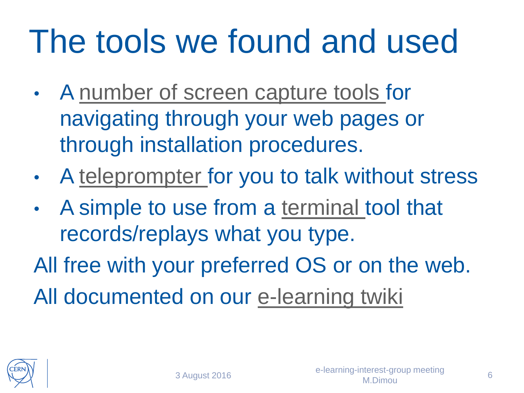# The tools we found and used

- A [number of screen capture tools](https://twiki.cern.ch/twiki/pub/ELearning/WebHome/screen_capture_tools.pdf) for navigating through your web pages or through installation procedures.
- A [teleprompter](http://mirrorscript.com/) for you to talk without stress
- A simple to use from a [terminal](https://asciinema.org/) tool that records/replays what you type.

All free with your preferred OS or on the web. All documented on our [e-learning twiki](https://twiki.cern.ch/ELearning#Utilities)

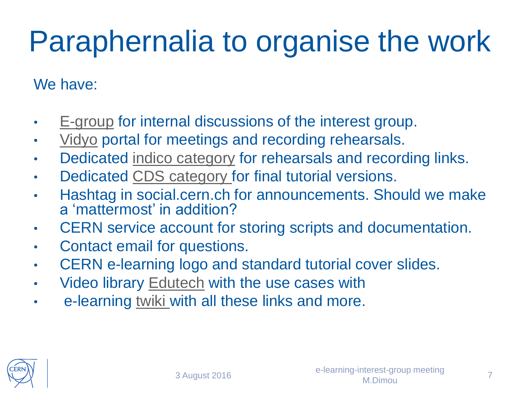### Paraphernalia to organise the work

#### We have:

- [E-group](https://e-groups.cern.ch/e-groups/Egroup.do?egroupId=10194791) for internal discussions of the interest group.
- [Vidyo](https://vidyoportal.cern.ch/flex.html?roomdirect.html&key=3ERf9H8CfnBCOUj6BaXrE1euJE) portal for meetings and recording rehearsals.
- Dedicated [indico category](https://indico.cern.ch/category/7442/) for rehearsals and recording links.
- Dedicated [CDS category f](http://cds.cern.ch/collection/E-learning modules?ln=en)or final tutorial versions.
- Hashtag in social.cern.ch for announcements. Should we make a 'mattermost' in addition?
- CERN service account for storing scripts and documentation.
- Contact email for questions.
- CERN e-learning logo and standard tutorial cover slides.
- Video library [Edutech](https://twiki.cern.ch/Edutech) with the use cases with
- e-learning [twiki](https://twiki.cern.ch/ELearning) with all these links and more.

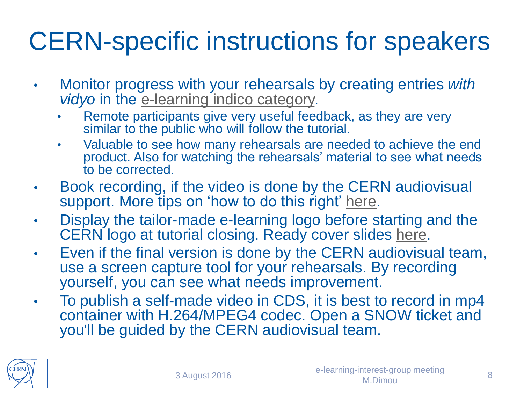### CERN-specific instructions for speakers

- Monitor progress with your rehearsals by creating entries *with vidyo* in the [e-learning indico category.](https://indico.cern.ch/category/7442/)
	- Remote participants give very useful feedback, as they are very similar to the public who will follow the tutorial.
	- Valuable to see how many rehearsals are needed to achieve the end product. Also for watching the rehearsals' material to see what needs to be corrected.
- Book recording, if the video is done by the CERN audiovisual support. More tips on 'how to do this right' [here](https://twiki.cern.ch/ELearning/WebHome#Points_for_speakers_preparation).
- Display the tailor-made e-learning logo before starting and the CERN logo at tutorial closing. Ready cover slides [here.](https://twiki.cern.ch/ELearning#Points_for_speakers_preparation)
- Even if the final version is done by the CERN audiovisual team, use a screen capture tool for your rehearsals. By recording yourself, you can see what needs improvement.
- To publish a self-made video in CDS, it is best to record in mp4 container with H.264/MPEG4 codec. Open a SNOW ticket and you'll be guided by the CERN audiovisual team.

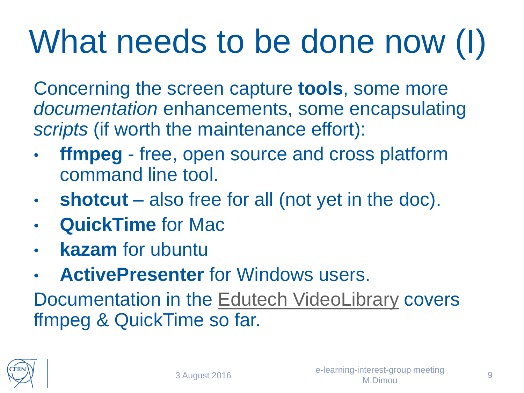# What needs to be done now (I)

Concerning the screen capture **tools**, some more *documentation* enhancements, some encapsulating *scripts* (if worth the maintenance effort):

- **ffmpeg** free, open source and cross platform command line tool.
- **shotcut** also free for all (not yet in the doc).
- **QuickTime** for Mac
- **kazam** for ubuntu
- **ActivePresenter** for Windows users.

Documentation in the [Edutech VideoLibrary](https://twiki.cern.ch/Edutech/FFmpegDocAndDemo) covers ffmpeg & QuickTime so far.

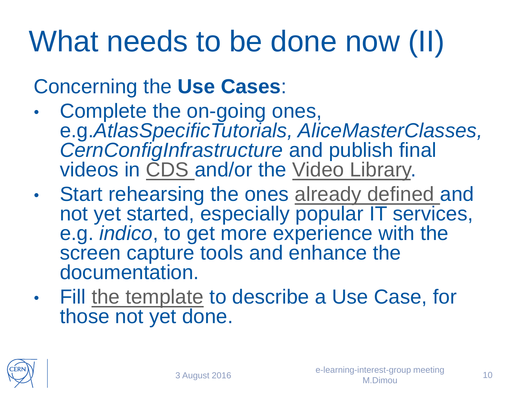### What needs to be done now (II)

#### Concerning the **Use Cases**:

- Complete the on-going ones, e.g.*AtlasSpecificTutorials, AliceMasterClasses, CernConfigInfrastructure* and publish final videos in [CDS a](http://cds.cern.ch/collection/E-learning modules?ln=en)nd/or the [Video Library.](http://twiki.cern.ch/Edutech)
- Start rehearsing the ones [already defined a](https://twiki.cern.ch/ELearning#Use_cases)nd not yet started, especially popular IT services, e.g. *indico*, to get more experience with the screen capture tools and enhance the documentation.
- Fill [the template](https://twiki.cern.ch/ELearning#Template_to_describe_a_Use_Case) to describe a Use Case, for those not yet done.

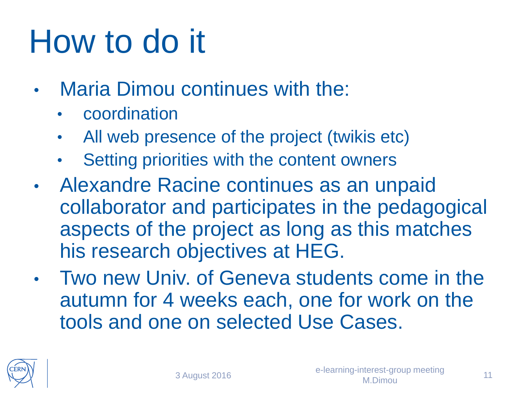# How to do it

- **Maria Dimou continues with the:** 
	- **coordination**
	- All web presence of the project (twikis etc)
	- Setting priorities with the content owners
- Alexandre Racine continues as an unpaid collaborator and participates in the pedagogical aspects of the project as long as this matches his research objectives at HEG.
- Two new Univ. of Geneva students come in the autumn for 4 weeks each, one for work on the tools and one on selected Use Cases.

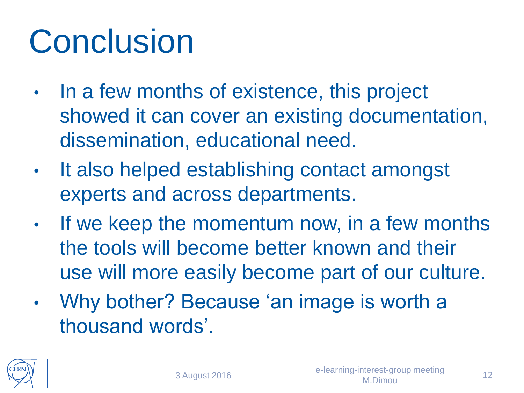# **Conclusion**

- In a few months of existence, this project showed it can cover an existing documentation, dissemination, educational need.
- It also helped establishing contact amongst experts and across departments.
- If we keep the momentum now, in a few months the tools will become better known and their use will more easily become part of our culture.
- Why bother? Because 'an image is worth a thousand words'.

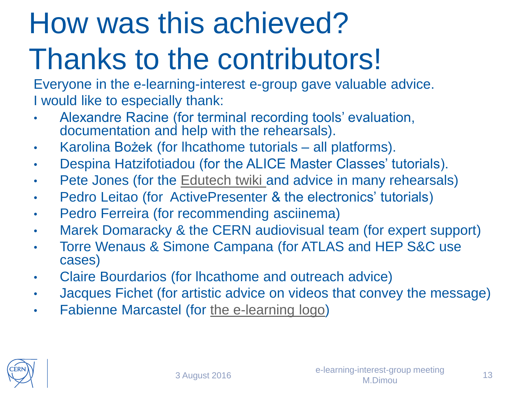# How was this achieved? Thanks to the contributors!

Everyone in the e-learning-interest e-group gave valuable advice. I would like to especially thank:

- Alexandre Racine (for terminal recording tools' evaluation, documentation and help with the rehearsals).
- Karolina Bożek (for lhcathome tutorials all platforms).
- Despina Hatzifotiadou (for the ALICE Master Classes' tutorials).
- Pete Jones (for the [Edutech twiki a](https://twiki.cern.ch/Edutech)nd advice in many rehearsals)
- Pedro Leitao (for ActivePresenter & the electronics' tutorials)
- Pedro Ferreira (for recommending asciinema)
- Marek Domaracky & the CERN audiovisual team (for expert support)
- Torre Wenaus & Simone Campana (for ATLAS and HEP S&C use cases)
- Claire Bourdarios (for lhcathome and outreach advice)
- Jacques Fichet (for artistic advice on videos that convey the message)
- Fabienne Marcastel (for [the e-learning logo\)](https://twiki.cern.ch/twiki/pub/ELearning/WebHome/CERNelearning-logo.png)